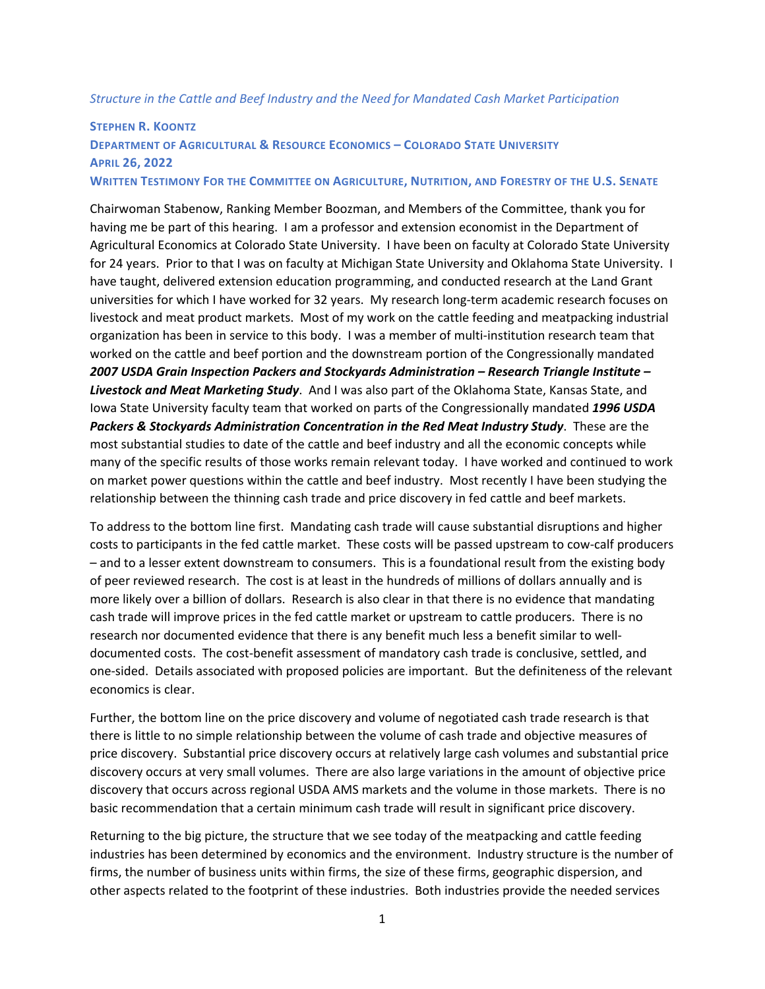## *Structure in the Cattle and Beef Industry and the Need for Mandated Cash Market Participation*

## **STEPHEN R. KOONTZ DEPARTMENT OF AGRICULTURAL & RESOURCE ECONOMICS – COLORADO STATE UNIVERSITY APRIL 26, 2022 WRITTEN TESTIMONY FOR THE COMMITTEE ON AGRICULTURE, NUTRITION, AND FORESTRY OF THE U.S. SENATE**

Chairwoman Stabenow, Ranking Member Boozman, and Members of the Committee, thank you for having me be part of this hearing. I am a professor and extension economist in the Department of Agricultural Economics at Colorado State University. I have been on faculty at Colorado State University for 24 years. Prior to that I was on faculty at Michigan State University and Oklahoma State University. I have taught, delivered extension education programming, and conducted research at the Land Grant universities for which I have worked for 32 years. My research long‐term academic research focuses on livestock and meat product markets. Most of my work on the cattle feeding and meatpacking industrial organization has been in service to this body. I was a member of multi-institution research team that worked on the cattle and beef portion and the downstream portion of the Congressionally mandated *2007 USDA Grain Inspection Packers and Stockyards Administration – Research Triangle Institute – Livestock and Meat Marketing Study*. And I was also part of the Oklahoma State, Kansas State, and Iowa State University faculty team that worked on parts of the Congressionally mandated *1996 USDA Packers & Stockyards Administration Concentration in the Red Meat Industry Study*. These are the most substantial studies to date of the cattle and beef industry and all the economic concepts while many of the specific results of those works remain relevant today. I have worked and continued to work on market power questions within the cattle and beef industry. Most recently I have been studying the relationship between the thinning cash trade and price discovery in fed cattle and beef markets.

To address to the bottom line first. Mandating cash trade will cause substantial disruptions and higher costs to participants in the fed cattle market. These costs will be passed upstream to cow‐calf producers – and to a lesser extent downstream to consumers. This is a foundational result from the existing body of peer reviewed research. The cost is at least in the hundreds of millions of dollars annually and is more likely over a billion of dollars. Research is also clear in that there is no evidence that mandating cash trade will improve prices in the fed cattle market or upstream to cattle producers. There is no research nor documented evidence that there is any benefit much less a benefit similar to well‐ documented costs. The cost-benefit assessment of mandatory cash trade is conclusive, settled, and one‐sided. Details associated with proposed policies are important. But the definiteness of the relevant economics is clear.

Further, the bottom line on the price discovery and volume of negotiated cash trade research is that there is little to no simple relationship between the volume of cash trade and objective measures of price discovery. Substantial price discovery occurs at relatively large cash volumes and substantial price discovery occurs at very small volumes. There are also large variations in the amount of objective price discovery that occurs across regional USDA AMS markets and the volume in those markets. There is no basic recommendation that a certain minimum cash trade will result in significant price discovery.

Returning to the big picture, the structure that we see today of the meatpacking and cattle feeding industries has been determined by economics and the environment. Industry structure is the number of firms, the number of business units within firms, the size of these firms, geographic dispersion, and other aspects related to the footprint of these industries. Both industries provide the needed services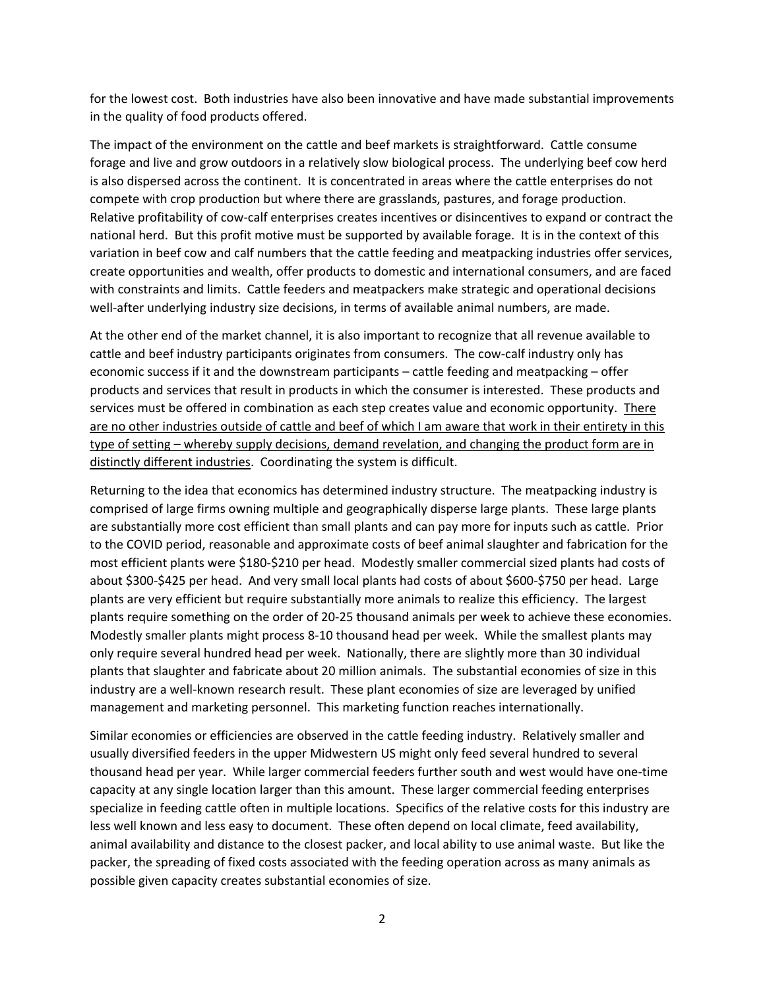for the lowest cost. Both industries have also been innovative and have made substantial improvements in the quality of food products offered.

The impact of the environment on the cattle and beef markets is straightforward. Cattle consume forage and live and grow outdoors in a relatively slow biological process. The underlying beef cow herd is also dispersed across the continent. It is concentrated in areas where the cattle enterprises do not compete with crop production but where there are grasslands, pastures, and forage production. Relative profitability of cow‐calf enterprises creates incentives or disincentives to expand or contract the national herd. But this profit motive must be supported by available forage. It is in the context of this variation in beef cow and calf numbers that the cattle feeding and meatpacking industries offer services, create opportunities and wealth, offer products to domestic and international consumers, and are faced with constraints and limits. Cattle feeders and meatpackers make strategic and operational decisions well-after underlying industry size decisions, in terms of available animal numbers, are made.

At the other end of the market channel, it is also important to recognize that all revenue available to cattle and beef industry participants originates from consumers. The cow-calf industry only has economic success if it and the downstream participants – cattle feeding and meatpacking – offer products and services that result in products in which the consumer is interested. These products and services must be offered in combination as each step creates value and economic opportunity. There are no other industries outside of cattle and beef of which I am aware that work in their entirety in this type of setting – whereby supply decisions, demand revelation, and changing the product form are in distinctly different industries. Coordinating the system is difficult.

Returning to the idea that economics has determined industry structure. The meatpacking industry is comprised of large firms owning multiple and geographically disperse large plants. These large plants are substantially more cost efficient than small plants and can pay more for inputs such as cattle. Prior to the COVID period, reasonable and approximate costs of beef animal slaughter and fabrication for the most efficient plants were \$180‐\$210 per head. Modestly smaller commercial sized plants had costs of about \$300‐\$425 per head. And very small local plants had costs of about \$600‐\$750 per head. Large plants are very efficient but require substantially more animals to realize this efficiency. The largest plants require something on the order of 20‐25 thousand animals per week to achieve these economies. Modestly smaller plants might process 8‐10 thousand head per week. While the smallest plants may only require several hundred head per week. Nationally, there are slightly more than 30 individual plants that slaughter and fabricate about 20 million animals. The substantial economies of size in this industry are a well-known research result. These plant economies of size are leveraged by unified management and marketing personnel. This marketing function reaches internationally.

Similar economies or efficiencies are observed in the cattle feeding industry. Relatively smaller and usually diversified feeders in the upper Midwestern US might only feed several hundred to several thousand head per year. While larger commercial feeders further south and west would have one‐time capacity at any single location larger than this amount. These larger commercial feeding enterprises specialize in feeding cattle often in multiple locations. Specifics of the relative costs for this industry are less well known and less easy to document. These often depend on local climate, feed availability, animal availability and distance to the closest packer, and local ability to use animal waste. But like the packer, the spreading of fixed costs associated with the feeding operation across as many animals as possible given capacity creates substantial economies of size.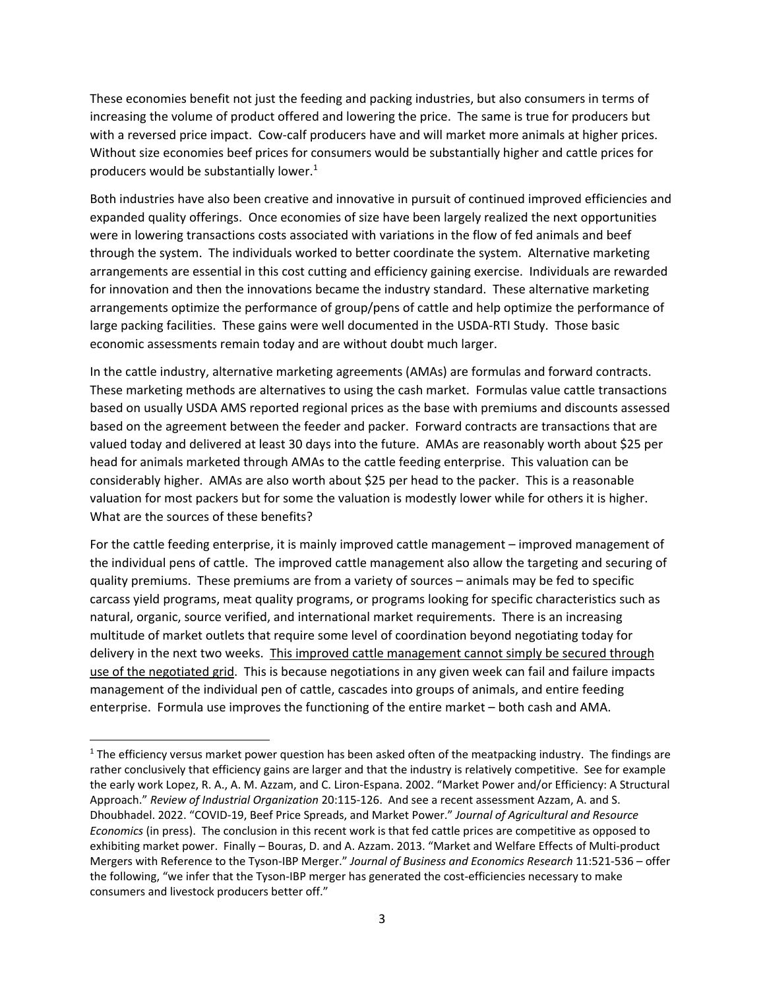These economies benefit not just the feeding and packing industries, but also consumers in terms of increasing the volume of product offered and lowering the price. The same is true for producers but with a reversed price impact. Cow-calf producers have and will market more animals at higher prices. Without size economies beef prices for consumers would be substantially higher and cattle prices for producers would be substantially lower. $1$ 

Both industries have also been creative and innovative in pursuit of continued improved efficiencies and expanded quality offerings. Once economies of size have been largely realized the next opportunities were in lowering transactions costs associated with variations in the flow of fed animals and beef through the system. The individuals worked to better coordinate the system. Alternative marketing arrangements are essential in this cost cutting and efficiency gaining exercise. Individuals are rewarded for innovation and then the innovations became the industry standard. These alternative marketing arrangements optimize the performance of group/pens of cattle and help optimize the performance of large packing facilities. These gains were well documented in the USDA‐RTI Study. Those basic economic assessments remain today and are without doubt much larger.

In the cattle industry, alternative marketing agreements (AMAs) are formulas and forward contracts. These marketing methods are alternatives to using the cash market. Formulas value cattle transactions based on usually USDA AMS reported regional prices as the base with premiums and discounts assessed based on the agreement between the feeder and packer. Forward contracts are transactions that are valued today and delivered at least 30 days into the future. AMAs are reasonably worth about \$25 per head for animals marketed through AMAs to the cattle feeding enterprise. This valuation can be considerably higher. AMAs are also worth about \$25 per head to the packer. This is a reasonable valuation for most packers but for some the valuation is modestly lower while for others it is higher. What are the sources of these benefits?

For the cattle feeding enterprise, it is mainly improved cattle management – improved management of the individual pens of cattle. The improved cattle management also allow the targeting and securing of quality premiums. These premiums are from a variety of sources – animals may be fed to specific carcass yield programs, meat quality programs, or programs looking for specific characteristics such as natural, organic, source verified, and international market requirements. There is an increasing multitude of market outlets that require some level of coordination beyond negotiating today for delivery in the next two weeks. This improved cattle management cannot simply be secured through use of the negotiated grid. This is because negotiations in any given week can fail and failure impacts management of the individual pen of cattle, cascades into groups of animals, and entire feeding enterprise. Formula use improves the functioning of the entire market – both cash and AMA.

 $1$  The efficiency versus market power question has been asked often of the meatpacking industry. The findings are rather conclusively that efficiency gains are larger and that the industry is relatively competitive. See for example the early work Lopez, R. A., A. M. Azzam, and C. Liron‐Espana. 2002. "Market Power and/or Efficiency: A Structural Approach." *Review of Industrial Organization* 20:115‐126. And see a recent assessment Azzam, A. and S. Dhoubhadel. 2022. "COVID‐19, Beef Price Spreads, and Market Power." *Journal of Agricultural and Resource Economics* (in press). The conclusion in this recent work is that fed cattle prices are competitive as opposed to exhibiting market power. Finally – Bouras, D. and A. Azzam. 2013. "Market and Welfare Effects of Multi‐product Mergers with Reference to the Tyson‐IBP Merger." *Journal of Business and Economics Research* 11:521‐536 – offer the following, "we infer that the Tyson-IBP merger has generated the cost-efficiencies necessary to make consumers and livestock producers better off."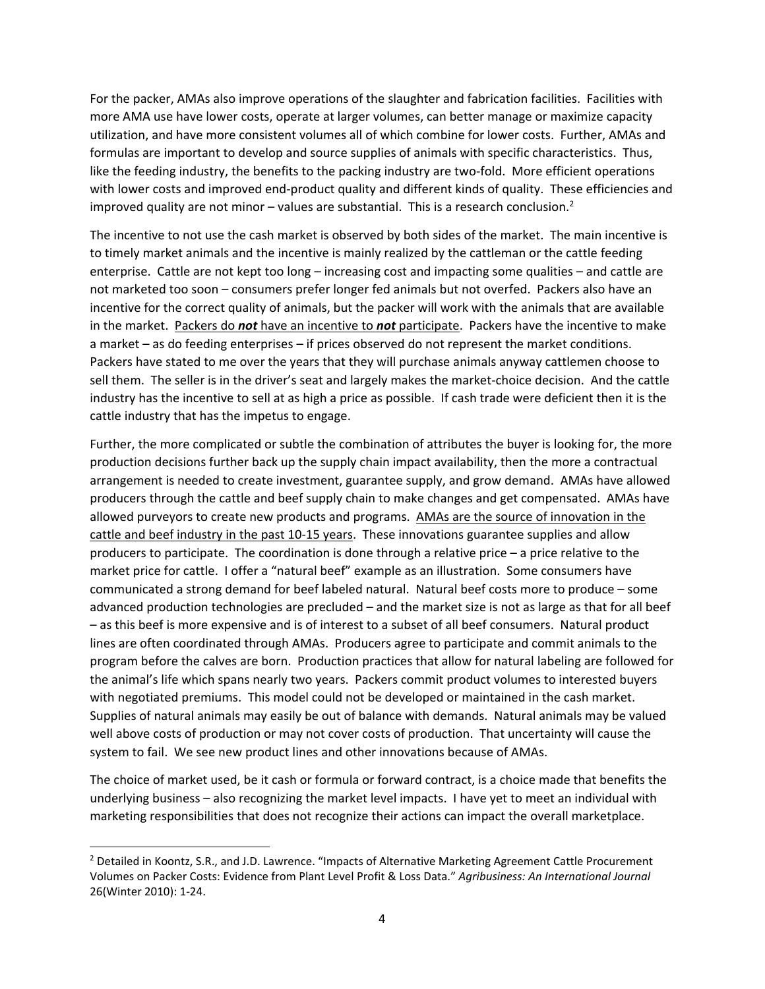For the packer, AMAs also improve operations of the slaughter and fabrication facilities. Facilities with more AMA use have lower costs, operate at larger volumes, can better manage or maximize capacity utilization, and have more consistent volumes all of which combine for lower costs. Further, AMAs and formulas are important to develop and source supplies of animals with specific characteristics. Thus, like the feeding industry, the benefits to the packing industry are two-fold. More efficient operations with lower costs and improved end-product quality and different kinds of quality. These efficiencies and improved quality are not minor – values are substantial. This is a research conclusion.<sup>2</sup>

The incentive to not use the cash market is observed by both sides of the market. The main incentive is to timely market animals and the incentive is mainly realized by the cattleman or the cattle feeding enterprise. Cattle are not kept too long – increasing cost and impacting some qualities – and cattle are not marketed too soon – consumers prefer longer fed animals but not overfed. Packers also have an incentive for the correct quality of animals, but the packer will work with the animals that are available in the market. Packers do *not* have an incentive to *not* participate. Packers have the incentive to make a market – as do feeding enterprises – if prices observed do not represent the market conditions. Packers have stated to me over the years that they will purchase animals anyway cattlemen choose to sell them. The seller is in the driver's seat and largely makes the market-choice decision. And the cattle industry has the incentive to sell at as high a price as possible. If cash trade were deficient then it is the cattle industry that has the impetus to engage.

Further, the more complicated or subtle the combination of attributes the buyer is looking for, the more production decisions further back up the supply chain impact availability, then the more a contractual arrangement is needed to create investment, guarantee supply, and grow demand. AMAs have allowed producers through the cattle and beef supply chain to make changes and get compensated. AMAs have allowed purveyors to create new products and programs. AMAs are the source of innovation in the cattle and beef industry in the past 10-15 years. These innovations guarantee supplies and allow producers to participate. The coordination is done through a relative price – a price relative to the market price for cattle. I offer a "natural beef" example as an illustration. Some consumers have communicated a strong demand for beef labeled natural. Natural beef costs more to produce – some advanced production technologies are precluded – and the market size is not as large as that for all beef – as this beef is more expensive and is of interest to a subset of all beef consumers. Natural product lines are often coordinated through AMAs. Producers agree to participate and commit animals to the program before the calves are born. Production practices that allow for natural labeling are followed for the animal's life which spans nearly two years. Packers commit product volumes to interested buyers with negotiated premiums. This model could not be developed or maintained in the cash market. Supplies of natural animals may easily be out of balance with demands. Natural animals may be valued well above costs of production or may not cover costs of production. That uncertainty will cause the system to fail. We see new product lines and other innovations because of AMAs.

The choice of market used, be it cash or formula or forward contract, is a choice made that benefits the underlying business – also recognizing the market level impacts. I have yet to meet an individual with marketing responsibilities that does not recognize their actions can impact the overall marketplace.

<sup>&</sup>lt;sup>2</sup> Detailed in Koontz, S.R., and J.D. Lawrence. "Impacts of Alternative Marketing Agreement Cattle Procurement Volumes on Packer Costs: Evidence from Plant Level Profit & Loss Data." *Agribusiness: An International Journal* 26(Winter 2010): 1‐24.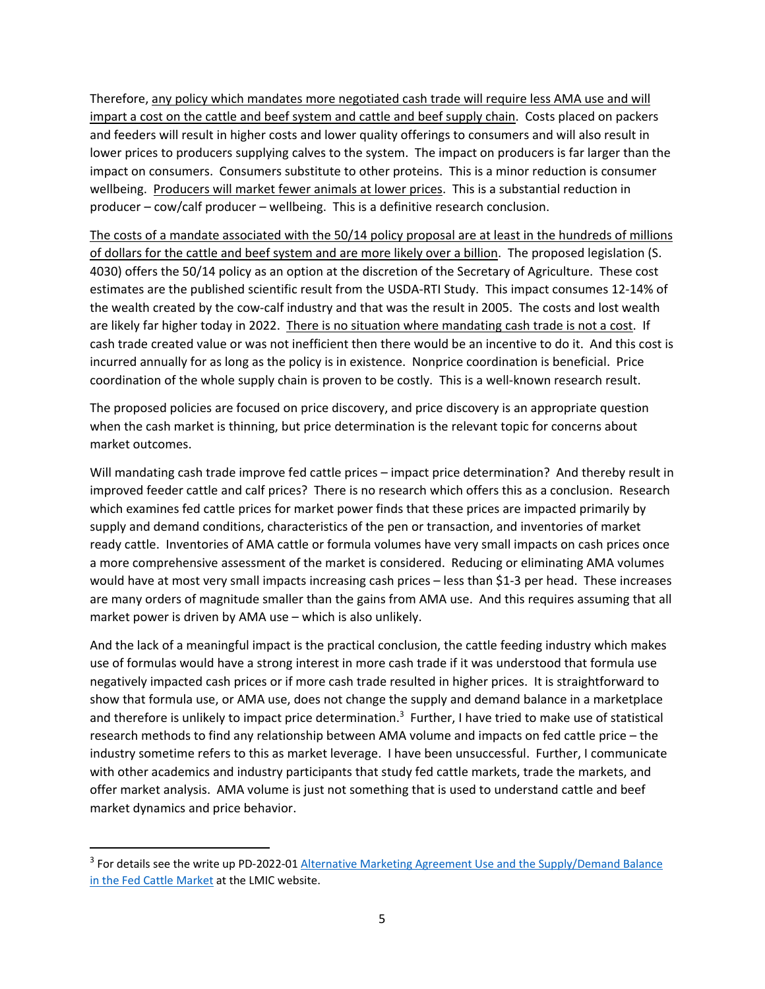Therefore, any policy which mandates more negotiated cash trade will require less AMA use and will impart a cost on the cattle and beef system and cattle and beef supply chain. Costs placed on packers and feeders will result in higher costs and lower quality offerings to consumers and will also result in lower prices to producers supplying calves to the system. The impact on producers is far larger than the impact on consumers. Consumers substitute to other proteins. This is a minor reduction is consumer wellbeing. Producers will market fewer animals at lower prices. This is a substantial reduction in producer – cow/calf producer – wellbeing. This is a definitive research conclusion.

The costs of a mandate associated with the 50/14 policy proposal are at least in the hundreds of millions of dollars for the cattle and beef system and are more likely over a billion. The proposed legislation (S. 4030) offers the 50/14 policy as an option at the discretion of the Secretary of Agriculture. These cost estimates are the published scientific result from the USDA‐RTI Study. This impact consumes 12‐14% of the wealth created by the cow-calf industry and that was the result in 2005. The costs and lost wealth are likely far higher today in 2022. There is no situation where mandating cash trade is not a cost. If cash trade created value or was not inefficient then there would be an incentive to do it. And this cost is incurred annually for as long as the policy is in existence. Nonprice coordination is beneficial. Price coordination of the whole supply chain is proven to be costly. This is a well-known research result.

The proposed policies are focused on price discovery, and price discovery is an appropriate question when the cash market is thinning, but price determination is the relevant topic for concerns about market outcomes.

Will mandating cash trade improve fed cattle prices – impact price determination? And thereby result in improved feeder cattle and calf prices? There is no research which offers this as a conclusion. Research which examines fed cattle prices for market power finds that these prices are impacted primarily by supply and demand conditions, characteristics of the pen or transaction, and inventories of market ready cattle. Inventories of AMA cattle or formula volumes have very small impacts on cash prices once a more comprehensive assessment of the market is considered. Reducing or eliminating AMA volumes would have at most very small impacts increasing cash prices – less than \$1-3 per head. These increases are many orders of magnitude smaller than the gains from AMA use. And this requires assuming that all market power is driven by AMA use – which is also unlikely.

And the lack of a meaningful impact is the practical conclusion, the cattle feeding industry which makes use of formulas would have a strong interest in more cash trade if it was understood that formula use negatively impacted cash prices or if more cash trade resulted in higher prices. It is straightforward to show that formula use, or AMA use, does not change the supply and demand balance in a marketplace and therefore is unlikely to impact price determination.<sup>3</sup> Further, I have tried to make use of statistical research methods to find any relationship between AMA volume and impacts on fed cattle price – the industry sometime refers to this as market leverage. I have been unsuccessful. Further, I communicate with other academics and industry participants that study fed cattle markets, trade the markets, and offer market analysis. AMA volume is just not something that is used to understand cattle and beef market dynamics and price behavior.

<sup>&</sup>lt;sup>3</sup> For details see the write up PD-2022-01 Alternative Marketing Agreement Use and the Supply/Demand Balance in the Fed Cattle Market at the LMIC website.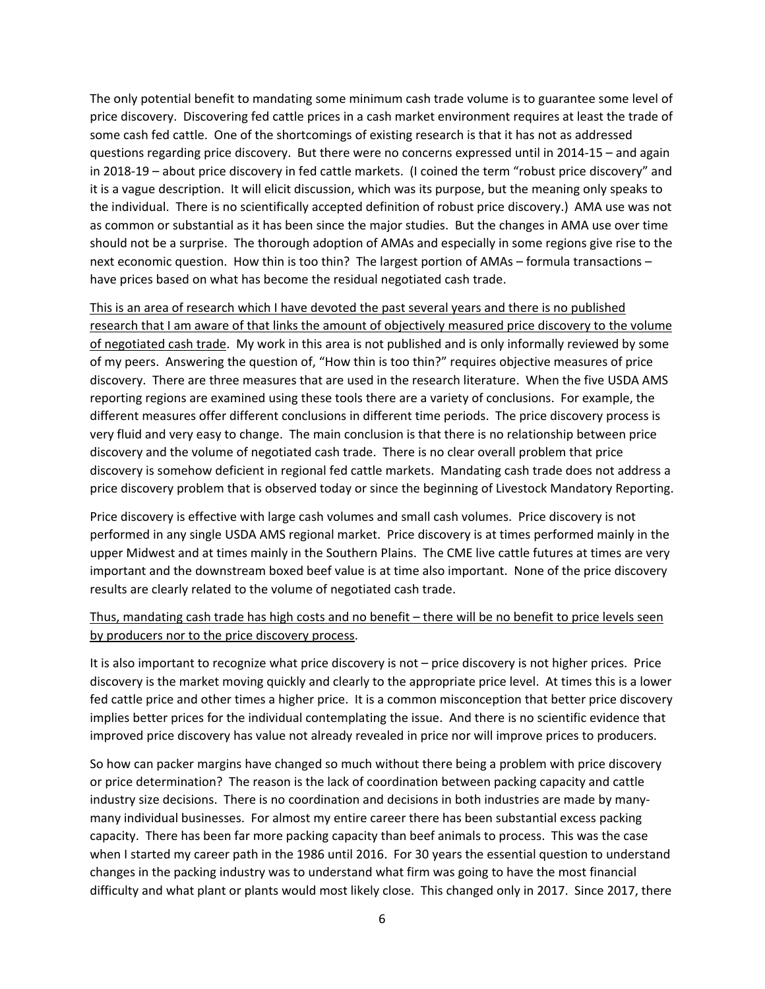The only potential benefit to mandating some minimum cash trade volume is to guarantee some level of price discovery. Discovering fed cattle prices in a cash market environment requires at least the trade of some cash fed cattle. One of the shortcomings of existing research is that it has not as addressed questions regarding price discovery. But there were no concerns expressed until in 2014‐15 – and again in 2018‐19 – about price discovery in fed cattle markets. (I coined the term "robust price discovery" and it is a vague description. It will elicit discussion, which was its purpose, but the meaning only speaks to the individual. There is no scientifically accepted definition of robust price discovery.) AMA use was not as common or substantial as it has been since the major studies. But the changes in AMA use over time should not be a surprise. The thorough adoption of AMAs and especially in some regions give rise to the next economic question. How thin is too thin? The largest portion of AMAs – formula transactions – have prices based on what has become the residual negotiated cash trade.

This is an area of research which I have devoted the past several years and there is no published research that I am aware of that links the amount of objectively measured price discovery to the volume of negotiated cash trade. My work in this area is not published and is only informally reviewed by some of my peers. Answering the question of, "How thin is too thin?" requires objective measures of price discovery. There are three measures that are used in the research literature. When the five USDA AMS reporting regions are examined using these tools there are a variety of conclusions. For example, the different measures offer different conclusions in different time periods. The price discovery process is very fluid and very easy to change. The main conclusion is that there is no relationship between price discovery and the volume of negotiated cash trade. There is no clear overall problem that price discovery is somehow deficient in regional fed cattle markets. Mandating cash trade does not address a price discovery problem that is observed today or since the beginning of Livestock Mandatory Reporting.

Price discovery is effective with large cash volumes and small cash volumes. Price discovery is not performed in any single USDA AMS regional market. Price discovery is at times performed mainly in the upper Midwest and at times mainly in the Southern Plains. The CME live cattle futures at times are very important and the downstream boxed beef value is at time also important. None of the price discovery results are clearly related to the volume of negotiated cash trade.

## Thus, mandating cash trade has high costs and no benefit – there will be no benefit to price levels seen by producers nor to the price discovery process.

It is also important to recognize what price discovery is not – price discovery is not higher prices. Price discovery is the market moving quickly and clearly to the appropriate price level. At times this is a lower fed cattle price and other times a higher price. It is a common misconception that better price discovery implies better prices for the individual contemplating the issue. And there is no scientific evidence that improved price discovery has value not already revealed in price nor will improve prices to producers.

So how can packer margins have changed so much without there being a problem with price discovery or price determination? The reason is the lack of coordination between packing capacity and cattle industry size decisions. There is no coordination and decisions in both industries are made by many‐ many individual businesses. For almost my entire career there has been substantial excess packing capacity. There has been far more packing capacity than beef animals to process. This was the case when I started my career path in the 1986 until 2016. For 30 years the essential question to understand changes in the packing industry was to understand what firm was going to have the most financial difficulty and what plant or plants would most likely close. This changed only in 2017. Since 2017, there